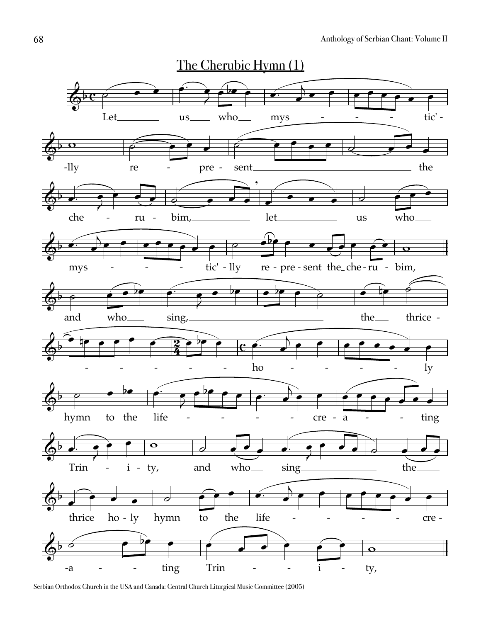

Serbian Orthodox Church in the USA and Canada: Central Church Liturgical Music Committee (2005)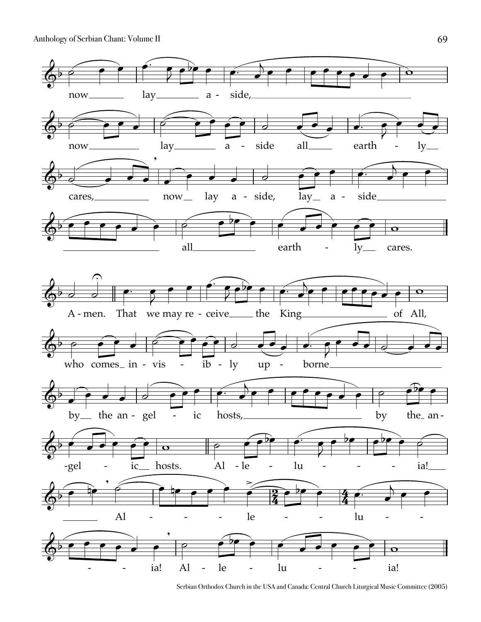

Serbian Orthodox Church in the USA and Canada: Central Church Liturgical Music Committee (2005)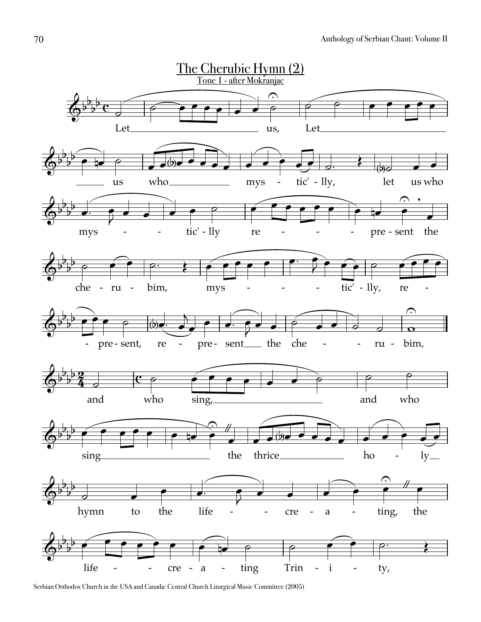

Serbian Orthodox Church in the USA and Canada: Central Church Liturgical Music Committee (2005)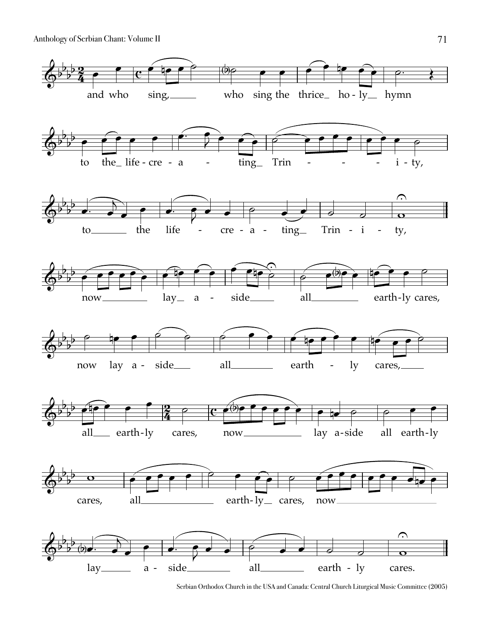

Serbian Orthodox Church in the USA and Canada: Central Church Liturgical Music Committee (2005)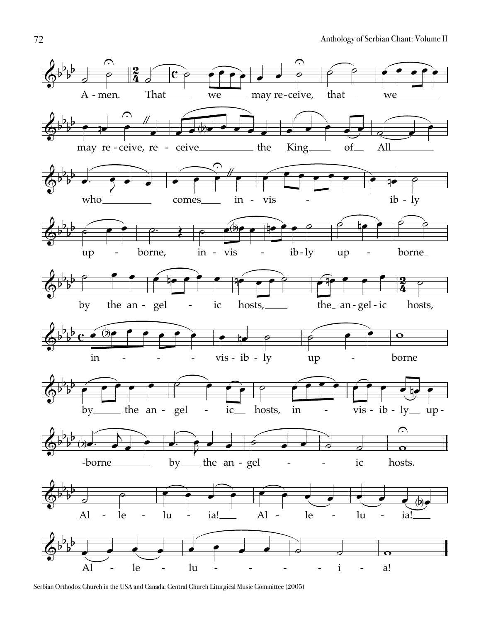

Serbian Orthodox Church in the USA and Canada: Central Church Liturgical Music Committee (2005)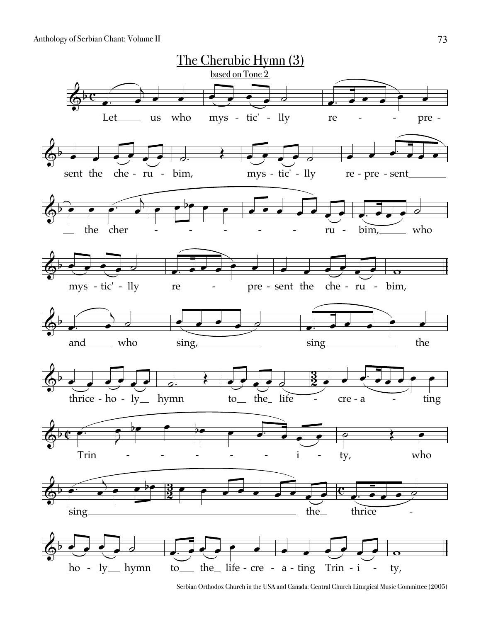

Serbian Orthodox Church in the USA and Canada: Central Church Liturgical Music Committee (2005)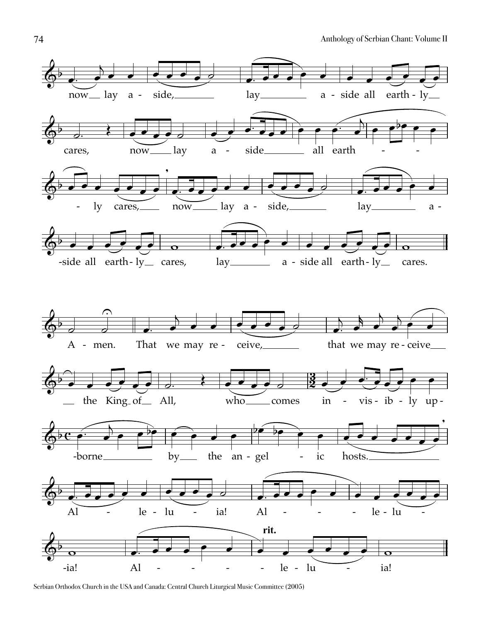

Serbian Orthodox Church in the USA and Canada: Central Church Liturgical Music Committee (2005)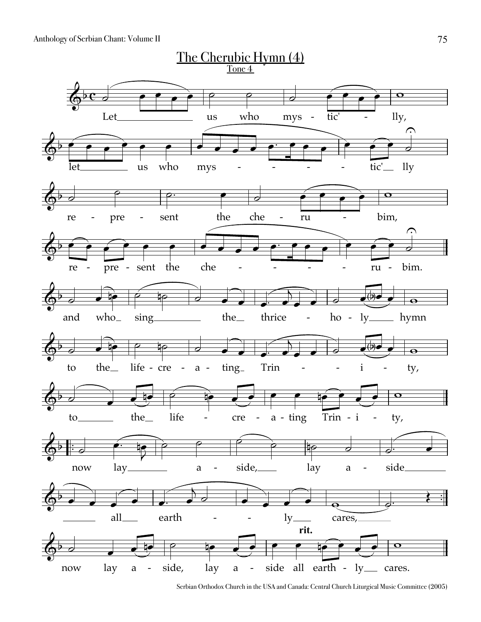

Serbian Orthodox Church in the USA and Canada: Central Church Liturgical Music Committee (2005)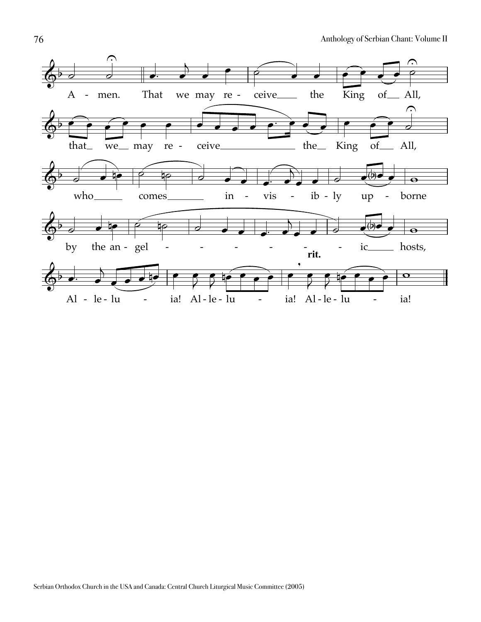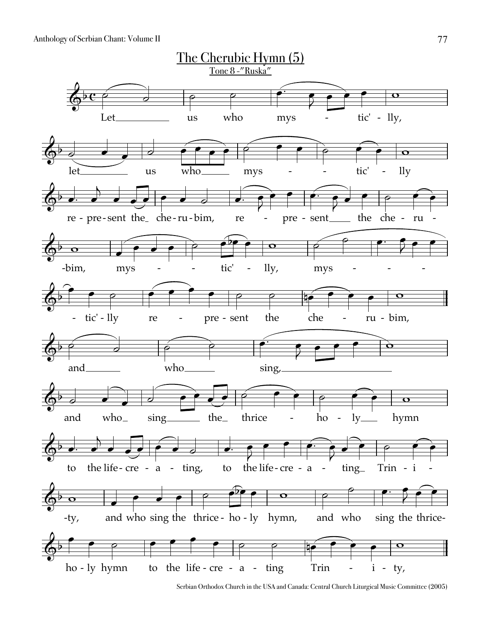

Serbian Orthodox Church in the USA and Canada: Central Church Liturgical Music Committee (2005)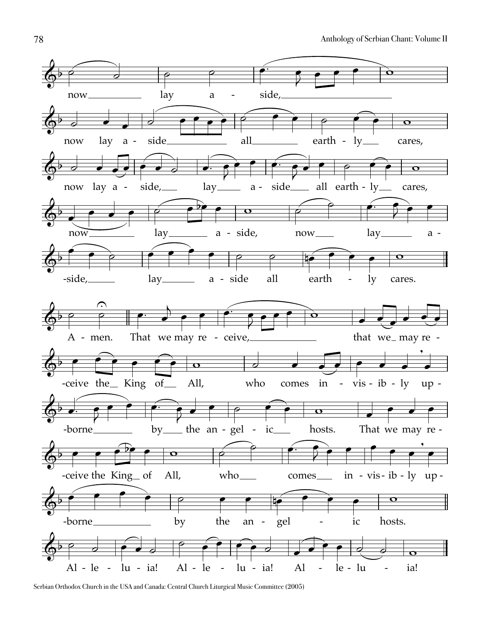

Serbian Orthodox Church in the USA and Canada: Central Church Liturgical Music Committee (2005)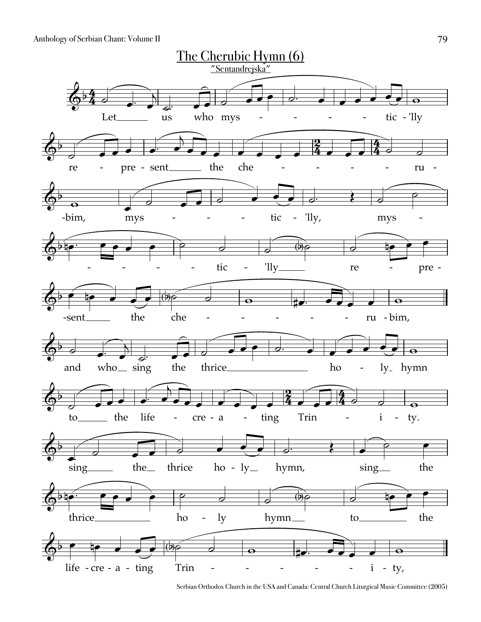

Serbian Orthodox Church in the USA and Canada: Central Church Liturgical Music Committee (2005)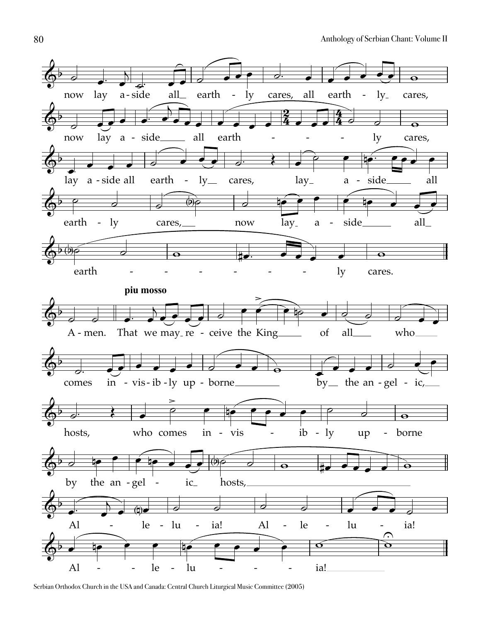

Serbian Orthodox Church in the USA and Canada: Central Church Liturgical Music Committee (2005)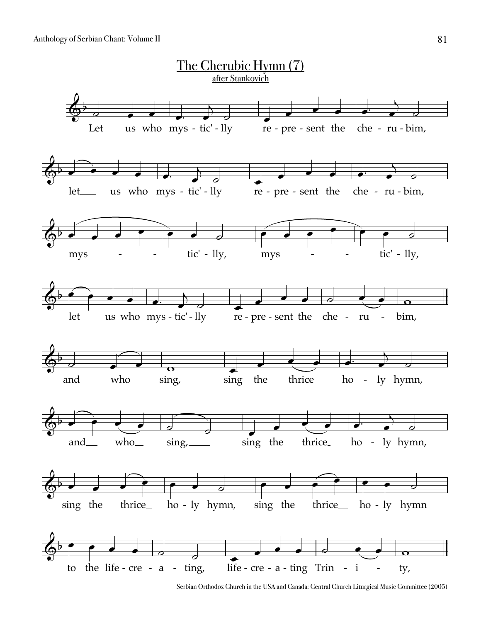

Serbian Orthodox Church in the USA and Canada: Central Church Liturgical Music Committee (2005)